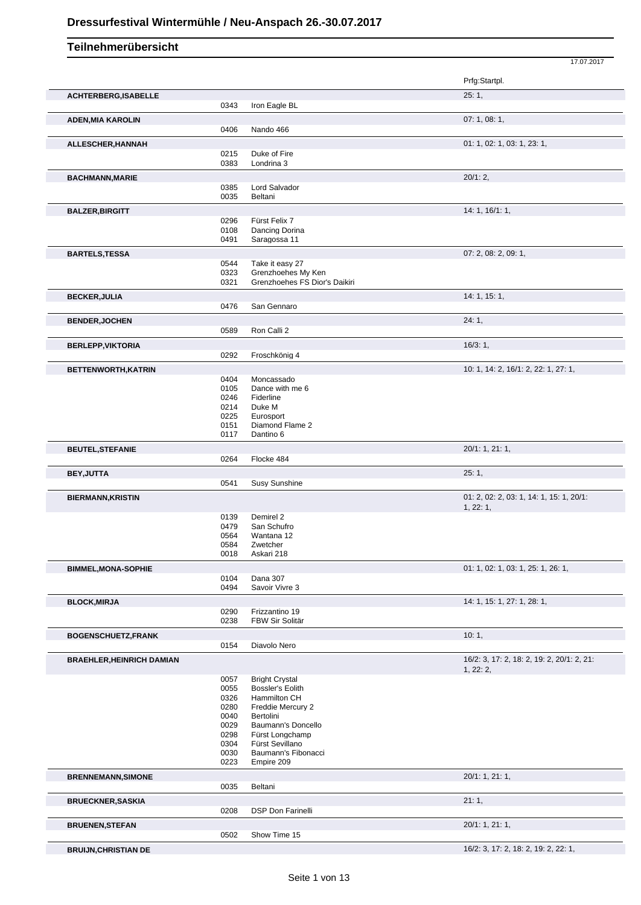17.07.2017 **Teilnehmerübersicht** Prfg:Startpl. **ACHTERBERG,ISABELLE** 25: 1, 0343 Iron Eagle BL **ADEN,MIA KAROLIN** 07: 1, 08: 1, 0406 Nando 466 **ALLESCHER, HANNAH** 0215 Duke of Fire 0215 Duke of Fire 0215 01: 1, 02: 1, 03: 1, 03: 1, 03: 1, 23: 1, 0215 Duke of Fire<br>0383 Londrina 3 Londrina 3 **BACHMANN,MARIE** 20/1: 2, 0385 Lord Salvador<br>0035 Beltani Beltani **BALZER,BIRGITT** 14: 1, 16/1: 1, 19/1: 1, 19/296 Fürst Felix 7 0296 Fürst Felix 7<br>0108 Dancing Dor 0108 Dancing Dorina<br>0491 Saragossa 11 Saragossa 11 **BARTELS,TESSA** 07: 2, 08: 2, 09: 1, 0544 Take it easy 27 0544 Take it easy 27<br>0323 Grenzhoehes M Grenzhoehes My Ken 0321 Grenzhoehes FS Dior's Daikiri **BECKER,JULIA** 14: 1, 15: 1, San Gennaro **BENDER,JOCHEN** 24: 1, 0589 Ron Calli 2 **BERLEPP, VIKTORIA** 16/3: 1, 0292 Froschkönig 4 **BETTENWORTH,KATRIN** 10: 1, 14: 2, 16/1: 2, 22: 1, 27: 1, 0404 Moncassado<br>0105 Dance with m 0105 Dance with me 6<br>0246 Fiderline 0246 Fiderline<br>0214 Duke M 0214 Duke M<br>0225 Eurospo 0225 Eurosport<br>0151 Diamond 0151 Diamond Flame 2<br>0117 Dantino 6 Dantino 6 **BEUTEL,STEFANIE** 20/1: 1, 21: 1, Flocke 484 **BEY,JUTTA** 25: 1, 0541 Susy Sunshine **BIERMANN,KRISTIN** 01: 2, 02: 2, 03: 1, 14: 1, 15: 1, 20/1: 1, 22: 1, 0139 Demirel 2 0479 San Schufro<br>0564 Wantana 12 Wantana 12 0584 Zwetcher 0018 Askari 218 **BIMMEL,MONA-SOPHIE** 01: 1, 02: 1, 03: 1, 25: 1, 26: 1, 0104 Dana 307<br>0494 Savoir Viv Savoir Vivre 3 **BLOCK,MIRJA** 14: 1, 15: 1, 27: 1, 28: 1, 0290 Frizzantino 19<br>0238 FBW Sir Solitä FBW Sir Solitär **BOGENSCHUETZ,FRANK** 10: 1, 0154 Diavolo Nero **BRAEHLER,HEINRICH DAMIAN** 16/2: 3, 17: 2, 18: 2, 19: 2, 20/1: 2, 21: 1, 22: 2, 0057 Bright Crystal<br>0055 Bossler's Eolit 0055 Bossler's Eolith<br>0326 Hammilton CH 0326 Hammilton CH<br>0280 Freddie Mercur 0280 Freddie Mercury 2<br>0040 Bertolini 0040 Bertolini<br>0029 Bauman Baumann's Doncello 0298 Fürst Longchamp 0304 Fürst Sevillano 0030 Baumann's Fibonacci 0223 Empire 209 **BRENNEMANN,SIMONE** 20/1: 1, 21: 1, **Beltani BRUECKNER, SASKIA** 21: 1, 2013 0208 DSP Don Farinelli **BRUENEN,STEFAN** 2001: 1, 21: 1, 0502 Show Time 15 **BRUIJN,CHRISTIAN DE** 16/2: 3, 17: 2, 18: 2, 19: 2, 22: 1,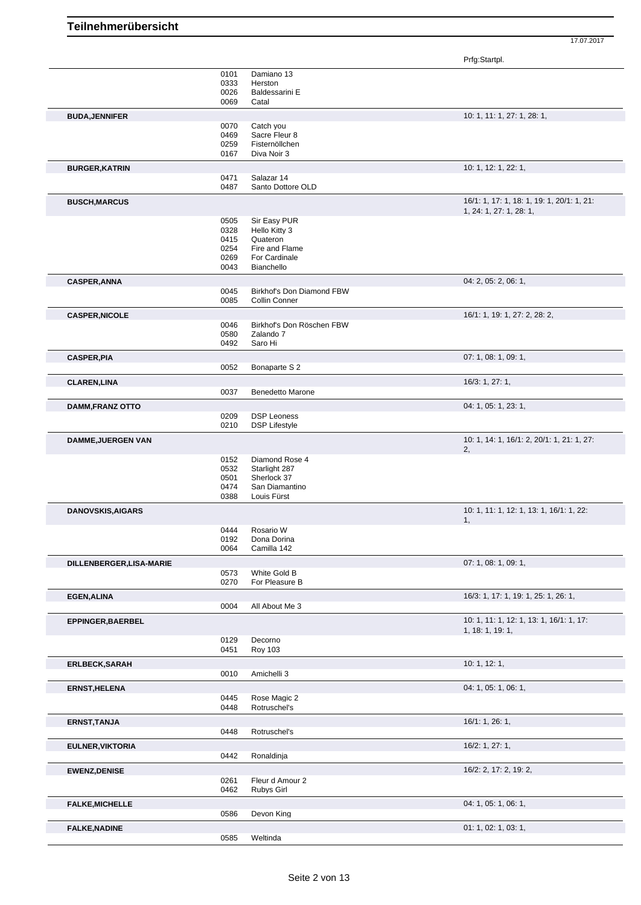|                           |              |                                            | Prfg:Startpl.                              |
|---------------------------|--------------|--------------------------------------------|--------------------------------------------|
|                           | 0101         | Damiano 13                                 |                                            |
|                           | 0333         | Herston                                    |                                            |
|                           | 0026         | Baldessarini E                             |                                            |
|                           | 0069         | Catal                                      |                                            |
| <b>BUDA, JENNIFER</b>     |              |                                            | 10: 1, 11: 1, 27: 1, 28: 1,                |
|                           | 0070         | Catch you                                  |                                            |
|                           | 0469         | Sacre Fleur 8                              |                                            |
|                           | 0259         | Fisternöllchen                             |                                            |
|                           | 0167         | Diva Noir 3                                |                                            |
| <b>BURGER, KATRIN</b>     |              |                                            | 10: 1, 12: 1, 22: 1,                       |
|                           | 0471<br>0487 | Salazar 14<br>Santo Dottore OLD            |                                            |
|                           |              |                                            | 16/1: 1, 17: 1, 18: 1, 19: 1, 20/1: 1, 21: |
| <b>BUSCH, MARCUS</b>      |              |                                            | 1, 24: 1, 27: 1, 28: 1,                    |
|                           | 0505         | Sir Easy PUR                               |                                            |
|                           | 0328         | Hello Kitty 3                              |                                            |
|                           | 0415         | Quateron                                   |                                            |
|                           | 0254         | Fire and Flame                             |                                            |
|                           | 0269         | For Cardinale                              |                                            |
|                           | 0043         | Bianchello                                 |                                            |
| <b>CASPER, ANNA</b>       |              |                                            | 04: 2, 05: 2, 06: 1,                       |
|                           | 0045<br>0085 | Birkhof's Don Diamond FBW<br>Collin Conner |                                            |
|                           |              |                                            |                                            |
| <b>CASPER, NICOLE</b>     | 0046         | Birkhof's Don Röschen FBW                  | 16/1: 1, 19: 1, 27: 2, 28: 2,              |
|                           | 0580         | Zalando 7                                  |                                            |
|                           | 0492         | Saro Hi                                    |                                            |
| <b>CASPER, PIA</b>        |              |                                            | 07: 1, 08: 1, 09: 1,                       |
|                           | 0052         | Bonaparte S 2                              |                                            |
| <b>CLAREN, LINA</b>       |              |                                            | 16/3: 1, 27: 1,                            |
|                           | 0037         | Benedetto Marone                           |                                            |
|                           |              |                                            | 04: 1, 05: 1, 23: 1,                       |
| <b>DAMM, FRANZ OTTO</b>   | 0209         | <b>DSP Leoness</b>                         |                                            |
|                           | 0210         | <b>DSP Lifestyle</b>                       |                                            |
| <b>DAMME, JUERGEN VAN</b> |              |                                            | 10: 1, 14: 1, 16/1: 2, 20/1: 1, 21: 1, 27: |
|                           |              |                                            | 2,                                         |
|                           | 0152         | Diamond Rose 4                             |                                            |
|                           | 0532         | Starlight 287                              |                                            |
|                           | 0501         | Sherlock 37                                |                                            |
|                           | 0474<br>0388 | San Diamantino<br>Louis Fürst              |                                            |
|                           |              |                                            |                                            |
| <b>DANOVSKIS, AIGARS</b>  |              |                                            | 10: 1, 11: 1, 12: 1, 13: 1, 16/1: 1, 22:   |
|                           | 0444         | Rosario W                                  | 1,                                         |
|                           | 0192         | Dona Dorina                                |                                            |
|                           | 0064         | Camilla 142                                |                                            |
| DILLENBERGER, LISA-MARIE  |              |                                            | 07: 1, 08: 1, 09: 1,                       |
|                           | 0573         | White Gold B                               |                                            |
|                           | 0270         | For Pleasure B                             |                                            |
| <b>EGEN, ALINA</b>        |              |                                            | 16/3: 1, 17: 1, 19: 1, 25: 1, 26: 1,       |
|                           | 0004         | All About Me 3                             |                                            |
| EPPINGER, BAERBEL         |              |                                            | 10: 1, 11: 1, 12: 1, 13: 1, 16/1: 1, 17:   |
|                           |              |                                            | 1, 18: 1, 19: 1,                           |
|                           | 0129<br>0451 | Decorno<br><b>Roy 103</b>                  |                                            |
|                           |              |                                            |                                            |
| <b>ERLBECK, SARAH</b>     | 0010         | Amichelli 3                                | 10: 1, 12: 1,                              |
|                           |              |                                            |                                            |
| <b>ERNST, HELENA</b>      | 0445         | Rose Magic 2                               | 04: 1, 05: 1, 06: 1,                       |
|                           | 0448         | Rotruschel's                               |                                            |
|                           |              |                                            |                                            |
| <b>ERNST, TANJA</b>       | 0448         | Rotruschel's                               | 16/1: 1, 26: 1,                            |
|                           |              |                                            |                                            |
| <b>EULNER, VIKTORIA</b>   |              |                                            | 16/2: 1, 27: 1,                            |
|                           | 0442         | Ronaldinja                                 |                                            |
| <b>EWENZ, DENISE</b>      |              |                                            | 16/2: 2, 17: 2, 19: 2,                     |
|                           | 0261         | Fleur d Amour 2                            |                                            |
|                           | 0462         | Rubys Girl                                 |                                            |
| <b>FALKE, MICHELLE</b>    |              |                                            | 04: 1, 05: 1, 06: 1,                       |
|                           | 0586         | Devon King                                 |                                            |
| <b>FALKE, NADINE</b>      |              |                                            | 01: 1, 02: 1, 03: 1,                       |
|                           | 0585         | Weltinda                                   |                                            |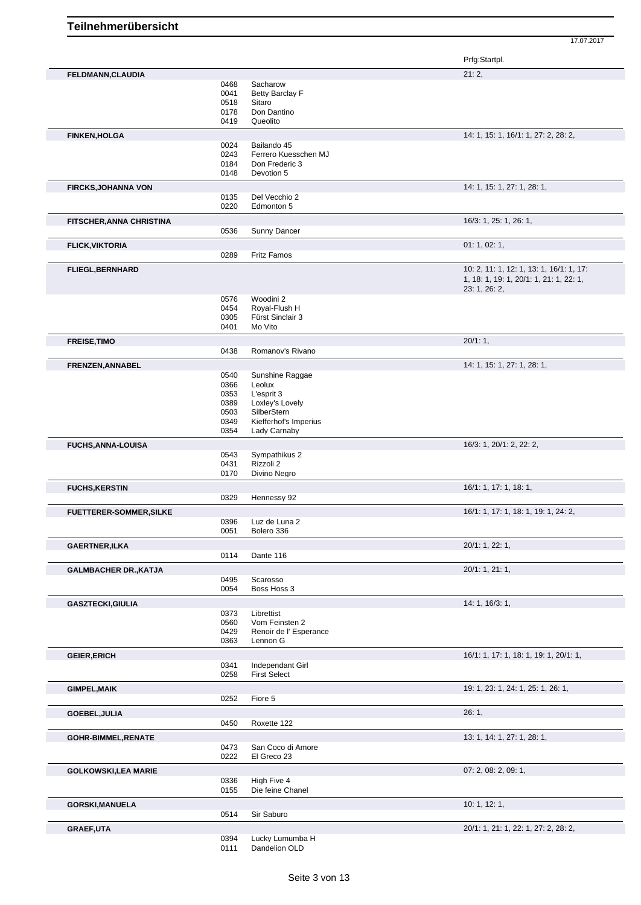|                                |              |                                         | Prfg:Startpl.                            |
|--------------------------------|--------------|-----------------------------------------|------------------------------------------|
| FELDMANN, CLAUDIA              |              |                                         | 21:2,                                    |
|                                | 0468         | Sacharow                                |                                          |
|                                | 0041         | Betty Barclay F                         |                                          |
|                                | 0518<br>0178 | Sitaro                                  |                                          |
|                                | 0419         | Don Dantino<br>Queolito                 |                                          |
|                                |              |                                         | 14: 1, 15: 1, 16/1: 1, 27: 2, 28: 2,     |
| <b>FINKEN, HOLGA</b>           | 0024         | Bailando 45                             |                                          |
|                                | 0243         | Ferrero Kuesschen MJ                    |                                          |
|                                | 0184         | Don Frederic 3                          |                                          |
|                                | 0148         | Devotion 5                              |                                          |
| <b>FIRCKS, JOHANNA VON</b>     |              |                                         | 14: 1, 15: 1, 27: 1, 28: 1,              |
|                                | 0135         | Del Vecchio 2                           |                                          |
|                                | 0220         | Edmonton 5                              |                                          |
| FITSCHER, ANNA CHRISTINA       |              |                                         | 16/3: 1, 25: 1, 26: 1,                   |
|                                | 0536         | Sunny Dancer                            |                                          |
| <b>FLICK, VIKTORIA</b>         |              |                                         | 01: 1, 02: 1,                            |
|                                | 0289         | <b>Fritz Famos</b>                      |                                          |
| <b>FLIEGL, BERNHARD</b>        |              |                                         | 10: 2, 11: 1, 12: 1, 13: 1, 16/1: 1, 17: |
|                                |              |                                         | 1, 18: 1, 19: 1, 20/1: 1, 21: 1, 22: 1,  |
|                                |              |                                         | 23: 1, 26: 2,                            |
|                                | 0576         | Woodini 2                               |                                          |
|                                | 0454         | Royal-Flush H                           |                                          |
|                                | 0305<br>0401 | Fürst Sinclair 3<br>Mo Vito             |                                          |
|                                |              |                                         |                                          |
| <b>FREISE, TIMO</b>            |              |                                         | 20/1:1,                                  |
|                                | 0438         | Romanov's Rivano                        |                                          |
| FRENZEN, ANNABEL               |              |                                         | 14: 1, 15: 1, 27: 1, 28: 1,              |
|                                | 0540         | Sunshine Raggae                         |                                          |
|                                | 0366         | Leolux                                  |                                          |
|                                | 0353<br>0389 | L'esprit 3<br>Loxley's Lovely           |                                          |
|                                | 0503         | SilberStern                             |                                          |
|                                | 0349         | Kiefferhof's Imperius                   |                                          |
|                                | 0354         | Lady Carnaby                            |                                          |
| <b>FUCHS, ANNA-LOUISA</b>      |              |                                         | 16/3: 1, 20/1: 2, 22: 2,                 |
|                                | 0543         | Sympathikus 2                           |                                          |
|                                | 0431         | Rizzoli 2                               |                                          |
|                                | 0170         | Divino Negro                            |                                          |
| <b>FUCHS, KERSTIN</b>          |              |                                         | 16/1: 1, 17: 1, 18: 1,                   |
|                                | 0329         | Hennessy 92                             |                                          |
| <b>FUETTERER-SOMMER, SILKE</b> |              |                                         | 16/1: 1, 17: 1, 18: 1, 19: 1, 24: 2,     |
|                                | 0396         | Luz de Luna 2                           |                                          |
|                                | 0051         | Bolero 336                              |                                          |
| <b>GAERTNER, ILKA</b>          |              |                                         | 20/1: 1, 22: 1,                          |
|                                | 0114         | Dante 116                               |                                          |
| <b>GALMBACHER DR., KATJA</b>   |              |                                         | 20/1: 1, 21: 1,                          |
|                                | 0495         | Scarosso                                |                                          |
|                                | 0054         | Boss Hoss 3                             |                                          |
| <b>GASZTECKI,GIULIA</b>        |              |                                         | 14: 1, 16/3: 1,                          |
|                                | 0373         | Librettist                              |                                          |
|                                | 0560         | Vom Feinsten 2                          |                                          |
|                                | 0429<br>0363 | Renoir de l'Esperance<br>Lennon G       |                                          |
|                                |              |                                         |                                          |
| <b>GEIER, ERICH</b>            |              |                                         | 16/1: 1, 17: 1, 18: 1, 19: 1, 20/1: 1,   |
|                                | 0341<br>0258 | Independant Girl<br><b>First Select</b> |                                          |
|                                |              |                                         |                                          |
| <b>GIMPEL, MAIK</b>            |              |                                         | 19: 1, 23: 1, 24: 1, 25: 1, 26: 1,       |
|                                | 0252         | Fiore 5                                 |                                          |
| GOEBEL, JULIA                  |              |                                         | 26:1,                                    |
|                                | 0450         | Roxette 122                             |                                          |
| <b>GOHR-BIMMEL, RENATE</b>     |              |                                         | 13: 1, 14: 1, 27: 1, 28: 1,              |
|                                | 0473         | San Coco di Amore                       |                                          |
|                                | 0222         | El Greco 23                             |                                          |
| <b>GOLKOWSKI,LEA MARIE</b>     |              |                                         | 07: 2, 08: 2, 09: 1,                     |
|                                | 0336         | High Five 4                             |                                          |
|                                | 0155         | Die feine Chanel                        |                                          |
| <b>GORSKI, MANUELA</b>         |              |                                         | 10: 1, 12: 1,                            |
|                                | 0514         | Sir Saburo                              |                                          |
| <b>GRAEF, UTA</b>              |              |                                         | 20/1: 1, 21: 1, 22: 1, 27: 2, 28: 2,     |
|                                | 0394         | Lucky Lumumba H                         |                                          |
|                                | 0111         | Dandelion OLD                           |                                          |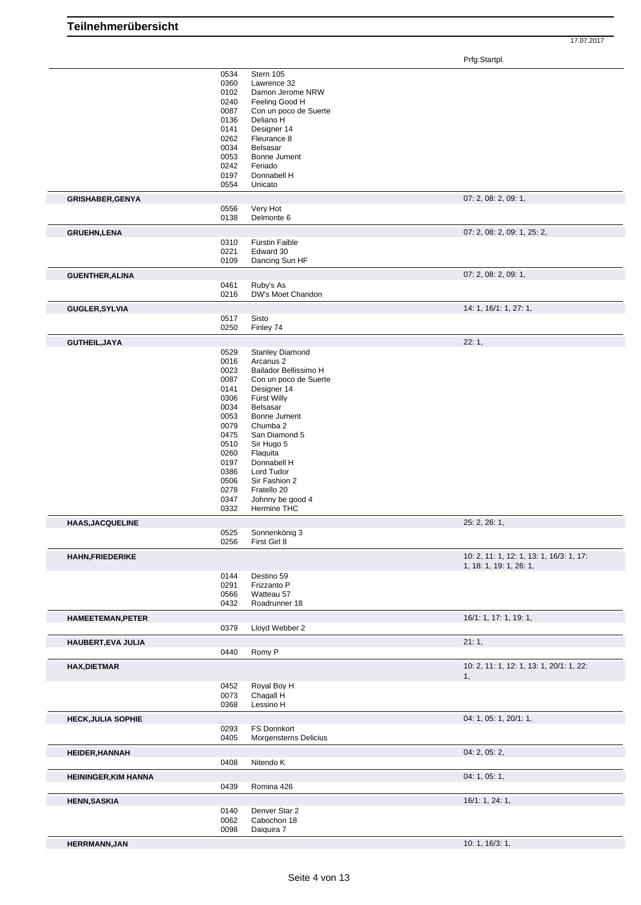Prfg:Startpl.

|                             | 0534         | Stern 105                     |                                                                     |
|-----------------------------|--------------|-------------------------------|---------------------------------------------------------------------|
|                             | 0360         | Lawrence 32                   |                                                                     |
|                             | 0102         | Damon Jerome NRW              |                                                                     |
|                             | 0240         | Feeling Good H                |                                                                     |
|                             | 0087         | Con un poco de Suerte         |                                                                     |
|                             | 0136         | Deliano H                     |                                                                     |
|                             | 0141         | Designer 14                   |                                                                     |
|                             | 0262         | Fleurance 8                   |                                                                     |
|                             | 0034         | Belsasar                      |                                                                     |
|                             | 0053         | Bonne Jument                  |                                                                     |
|                             | 0242         | Feriado                       |                                                                     |
|                             | 0197         | Donnabell H<br>Unicato        |                                                                     |
|                             | 0554         |                               |                                                                     |
| <b>GRISHABER, GENYA</b>     |              |                               | 07: 2, 08: 2, 09: 1,                                                |
|                             | 0556<br>0138 | Very Hot<br>Delmonte 6        |                                                                     |
|                             |              |                               |                                                                     |
| <b>GRUEHN,LENA</b>          | 0310         | Fürstin Faible                | 07: 2, 08: 2, 09: 1, 25: 2,                                         |
|                             | 0221         | Edward 30                     |                                                                     |
|                             | 0109         | Dancing Sun HF                |                                                                     |
|                             |              |                               |                                                                     |
| <b>GUENTHER, ALINA</b>      | 0461         | Ruby's As                     | 07: 2, 08: 2, 09: 1,                                                |
|                             | 0216         | DW's Moet Chandon             |                                                                     |
| <b>GUGLER, SYLVIA</b>       |              |                               | 14: 1, 16/1: 1, 27: 1,                                              |
|                             | 0517         | Sisto                         |                                                                     |
|                             | 0250         | Finley 74                     |                                                                     |
| GUTHEIL, JAYA               |              |                               | 22:1,                                                               |
|                             | 0529         | <b>Stanley Diamond</b>        |                                                                     |
|                             | 0016         | Arcanus <sub>2</sub>          |                                                                     |
|                             | 0023         | Bailador Bellissimo H         |                                                                     |
|                             | 0087         | Con un poco de Suerte         |                                                                     |
|                             | 0141         | Designer 14                   |                                                                     |
|                             | 0306         | Fürst Willy                   |                                                                     |
|                             | 0034         | Belsasar                      |                                                                     |
|                             | 0053         | Bonne Jument                  |                                                                     |
|                             | 0079         | Chumba 2                      |                                                                     |
|                             | 0475         | San Diamond 5                 |                                                                     |
|                             | 0510         | Sir Hugo 5                    |                                                                     |
|                             | 0260         | Flaquita                      |                                                                     |
|                             | 0197         | Donnabell H                   |                                                                     |
|                             | 0386         | Lord Tudor                    |                                                                     |
|                             | 0506         | Sir Fashion 2                 |                                                                     |
|                             | 0278         | Fratello 20                   |                                                                     |
|                             | 0347         | Johnny be good 4              |                                                                     |
|                             | 0332         | Hermine THC                   |                                                                     |
| <b>HAAS, JACQUELINE</b>     |              |                               | 25: 2, 26: 1,                                                       |
|                             | 0525<br>0256 | Sonnenkönig 3<br>First Girl 8 |                                                                     |
|                             |              |                               |                                                                     |
| <b>HAHN, FRIEDERIKE</b>     |              |                               | 10: 2, 11: 1, 12: 1, 13: 1, 16/3: 1, 17:<br>1, 18: 1, 19: 1, 26: 1, |
|                             | 0144         | Destino 59                    |                                                                     |
|                             | 0291         | Frizzanto P                   |                                                                     |
|                             | 0566         | Watteau 57                    |                                                                     |
|                             | 0432         | Roadrunner 18                 |                                                                     |
| <b>HAMEETEMAN, PETER</b>    |              |                               | 16/1: 1, 17: 1, 19: 1,                                              |
|                             | 0379         | Lloyd Webber 2                |                                                                     |
| HAUBERT, EVA JULIA          |              |                               | 21:1,                                                               |
|                             | 0440         | Romy P                        |                                                                     |
| <b>HAX,DIETMAR</b>          |              |                               | 10: 2, 11: 1, 12: 1, 13: 1, 20/1: 1, 22:                            |
|                             |              |                               | 1,                                                                  |
|                             | 0452         | Royal Boy H                   |                                                                     |
|                             | 0073         | Chagall H                     |                                                                     |
|                             | 0368         | Lessino H                     |                                                                     |
| <b>HECK, JULIA SOPHIE</b>   |              |                               | 04: 1, 05: 1, 20/1: 1,                                              |
|                             | 0293         | <b>FS Dorinkort</b>           |                                                                     |
|                             | 0405         | Morgensterns Delicius         |                                                                     |
| <b>HEIDER, HANNAH</b>       |              |                               | 04: 2, 05: 2,                                                       |
|                             | 0408         | Nitendo K                     |                                                                     |
| <b>HEININGER, KIM HANNA</b> |              |                               | 04: 1, 05: 1,                                                       |
|                             | 0439         | Romina 426                    |                                                                     |
| <b>HENN, SASKIA</b>         |              |                               | 16/1: 1, 24: 1,                                                     |
|                             | 0140         | Denver Star 2                 |                                                                     |
|                             | 0062         | Cabochon 18                   |                                                                     |
|                             | 0098         | Daiguira 7                    |                                                                     |
| <b>HERRMANN, JAN</b>        |              |                               | 10: 1, 16/3: 1,                                                     |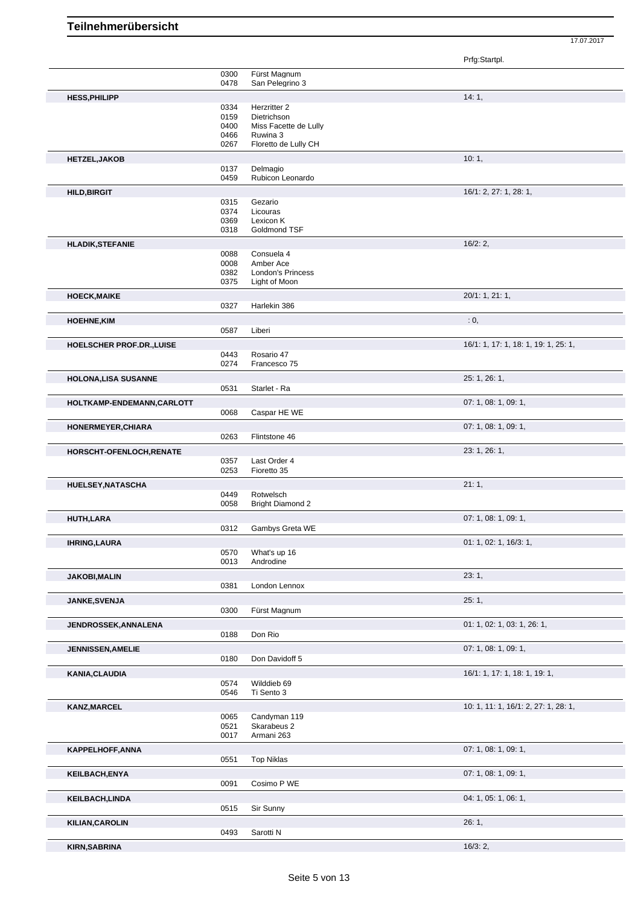|                             |              |                                       | Prfg:Startpl.                        |
|-----------------------------|--------------|---------------------------------------|--------------------------------------|
|                             | 0300         | Fürst Magnum                          |                                      |
|                             | 0478         | San Pelegrino 3                       |                                      |
| <b>HESS, PHILIPP</b>        |              |                                       | 14:1,                                |
|                             | 0334<br>0159 | Herzritter 2<br>Dietrichson           |                                      |
|                             | 0400         | Miss Facette de Lully                 |                                      |
|                             | 0466         | Ruwina 3                              |                                      |
|                             | 0267         | Floretto de Lully CH                  |                                      |
| <b>HETZEL, JAKOB</b>        |              |                                       | 10:1,                                |
|                             | 0137         | Delmagio                              |                                      |
|                             | 0459         | Rubicon Leonardo                      |                                      |
| <b>HILD, BIRGIT</b>         |              |                                       | 16/1: 2, 27: 1, 28: 1,               |
|                             | 0315<br>0374 | Gezario<br>Licouras                   |                                      |
|                             | 0369         | Lexicon K                             |                                      |
|                             | 0318         | Goldmond TSF                          |                                      |
| <b>HLADIK, STEFANIE</b>     |              |                                       | 16/2:2,                              |
|                             | 0088         | Consuela 4                            |                                      |
|                             | 0008<br>0382 | Amber Ace<br><b>London's Princess</b> |                                      |
|                             | 0375         | Light of Moon                         |                                      |
|                             |              |                                       | 20/1: 1, 21: 1,                      |
| <b>HOECK, MAIKE</b>         | 0327         | Harlekin 386                          |                                      |
| <b>HOEHNE,KIM</b>           |              |                                       | : 0,                                 |
|                             | 0587         | Liberi                                |                                      |
| HOELSCHER PROF.DR., LUISE   |              |                                       | 16/1: 1, 17: 1, 18: 1, 19: 1, 25: 1, |
|                             | 0443         | Rosario 47                            |                                      |
|                             | 0274         | Francesco 75                          |                                      |
| <b>HOLONA, LISA SUSANNE</b> |              |                                       | 25: 1, 26: 1,                        |
|                             | 0531         | Starlet - Ra                          |                                      |
| HOLTKAMP-ENDEMANN, CARLOTT  |              |                                       | 07: 1, 08: 1, 09: 1,                 |
|                             | 0068         | Caspar HE WE                          |                                      |
| HONERMEYER, CHIARA          |              |                                       | 07: 1, 08: 1, 09: 1,                 |
|                             | 0263         | Flintstone 46                         |                                      |
| HORSCHT-OFENLOCH, RENATE    |              |                                       | 23: 1, 26: 1,                        |
|                             | 0357<br>0253 | Last Order 4<br>Fioretto 35           |                                      |
|                             |              |                                       |                                      |
| HUELSEY, NATASCHA           | 0449         | Rotwelsch                             | 21:1,                                |
|                             | 0058         | <b>Bright Diamond 2</b>               |                                      |
| HUTH, LARA                  |              |                                       | 07: 1, 08: 1, 09: 1,                 |
|                             | 0312         | Gambys Greta WE                       |                                      |
| <b>IHRING, LAURA</b>        |              |                                       | 01: 1, 02: 1, 16/3: 1,               |
|                             | 0570         | What's up 16                          |                                      |
|                             | 0013         | Androdine                             |                                      |
| <b>JAKOBI, MALIN</b>        |              |                                       | 23:1,                                |
|                             | 0381         | London Lennox                         |                                      |
| <b>JANKE, SVENJA</b>        |              |                                       | 25:1,                                |
|                             | 0300         | Fürst Magnum                          |                                      |
| JENDROSSEK, ANNALENA        |              |                                       | 01: 1, 02: 1, 03: 1, 26: 1,          |
|                             | 0188         | Don Rio                               |                                      |
| <b>JENNISSEN, AMELIE</b>    |              |                                       | 07: 1, 08: 1, 09: 1,                 |
|                             | 0180         | Don Davidoff 5                        |                                      |
| KANIA, CLAUDIA              |              |                                       | 16/1: 1, 17: 1, 18: 1, 19: 1,        |
|                             | 0574<br>0546 | Wilddieb 69<br>Ti Sento 3             |                                      |
| <b>KANZ, MARCEL</b>         |              |                                       | 10: 1, 11: 1, 16/1: 2, 27: 1, 28: 1, |
|                             | 0065         | Candyman 119                          |                                      |
|                             | 0521         | Skarabeus 2                           |                                      |
|                             | 0017         | Armani 263                            |                                      |
| KAPPELHOFF, ANNA            |              |                                       | 07: 1, 08: 1, 09: 1,                 |
|                             | 0551         | <b>Top Niklas</b>                     |                                      |
| <b>KEILBACH,ENYA</b>        |              |                                       | 07: 1, 08: 1, 09: 1,                 |
|                             | 0091         | Cosimo P WE                           |                                      |
| <b>KEILBACH,LINDA</b>       |              |                                       | 04: 1, 05: 1, 06: 1,                 |
|                             | 0515         | Sir Sunny                             |                                      |
| <b>KILIAN, CAROLIN</b>      |              |                                       | 26:1,                                |
|                             | 0493         | Sarotti N                             |                                      |
| <b>KIRN, SABRINA</b>        |              |                                       | 16/3:2,                              |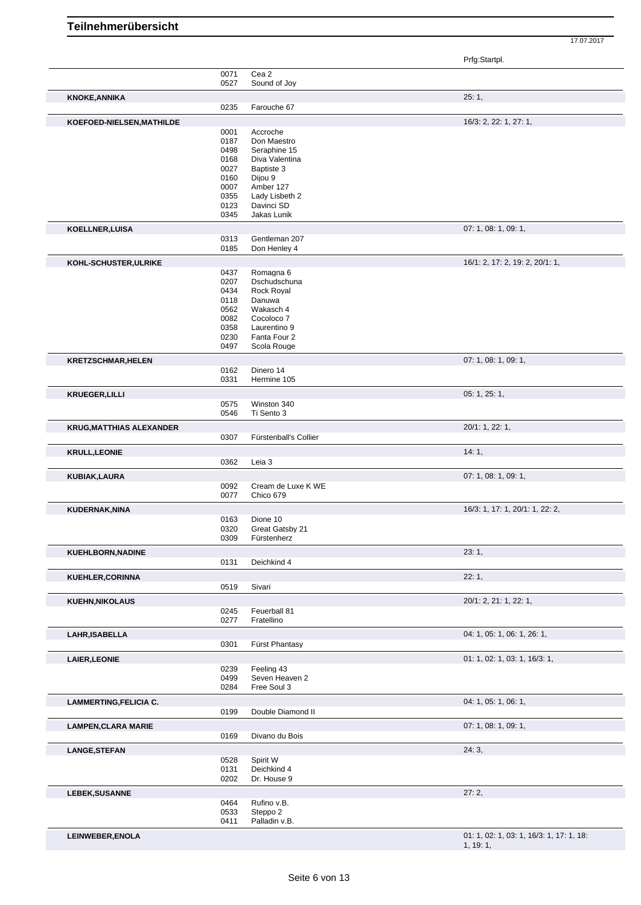Prfg:Startpl.

|                                 |              |                               | r ng.olanpi.                             |
|---------------------------------|--------------|-------------------------------|------------------------------------------|
|                                 | 0071         | Cea 2                         |                                          |
|                                 | 0527         | Sound of Joy                  |                                          |
| <b>KNOKE, ANNIKA</b>            | 0235         | Farouche 67                   | 25:1,                                    |
| KOEFOED-NIELSEN, MATHILDE       |              |                               | 16/3: 2, 22: 1, 27: 1,                   |
|                                 | 0001         | Accroche                      |                                          |
|                                 | 0187         | Don Maestro                   |                                          |
|                                 | 0498         | Seraphine 15                  |                                          |
|                                 | 0168         | Diva Valentina<br>Baptiste 3  |                                          |
|                                 | 0027<br>0160 | Dijou 9                       |                                          |
|                                 | 0007         | Amber 127                     |                                          |
|                                 | 0355         | Lady Lisbeth 2                |                                          |
|                                 | 0123         | Davinci SD                    |                                          |
|                                 | 0345         | Jakas Lunik                   |                                          |
| KOELLNER, LUISA                 |              |                               | 07: 1, 08: 1, 09: 1,                     |
|                                 | 0313<br>0185 | Gentleman 207<br>Don Henley 4 |                                          |
| KOHL-SCHUSTER, ULRIKE           |              |                               | 16/1: 2, 17: 2, 19: 2, 20/1: 1,          |
|                                 | 0437         | Romagna 6                     |                                          |
|                                 | 0207         | Dschudschuna                  |                                          |
|                                 | 0434         | Rock Royal                    |                                          |
|                                 | 0118         | Danuwa                        |                                          |
|                                 | 0562<br>0082 | Wakasch 4<br>Cocoloco 7       |                                          |
|                                 | 0358         | Laurentino 9                  |                                          |
|                                 | 0230         | Fanta Four 2                  |                                          |
|                                 | 0497         | Scola Rouge                   |                                          |
| <b>KRETZSCHMAR, HELEN</b>       |              |                               | 07: 1, 08: 1, 09: 1,                     |
|                                 | 0162         | Dinero 14                     |                                          |
|                                 | 0331         | Hermine 105                   |                                          |
| <b>KRUEGER,LILLI</b>            |              |                               | 05: 1, 25: 1,                            |
|                                 | 0575<br>0546 | Winston 340<br>Ti Sento 3     |                                          |
|                                 |              |                               |                                          |
| <b>KRUG, MATTHIAS ALEXANDER</b> | 0307         | Fürstenball's Collier         | 20/1: 1, 22: 1,                          |
|                                 |              |                               |                                          |
| <b>KRULL, LEONIE</b>            | 0362         | Leia 3                        | 14:1,                                    |
|                                 |              |                               | 07: 1, 08: 1, 09: 1,                     |
| KUBIAK, LAURA                   | 0092         | Cream de Luxe K WE            |                                          |
|                                 | 0077         | Chico 679                     |                                          |
| KUDERNAK, NINA                  |              |                               | 16/3: 1, 17: 1, 20/1: 1, 22: 2,          |
|                                 | 0163         | Dione 10                      |                                          |
|                                 | 0320         | Great Gatsby 21               |                                          |
|                                 | 0309         | Fürstenherz                   |                                          |
| <b>KUEHLBORN, NADINE</b>        |              |                               | 23:1,                                    |
|                                 | 0131         | Deichkind 4                   |                                          |
| <b>KUEHLER, CORINNA</b>         |              |                               | 22:1,                                    |
|                                 | 0519         | Sivari                        |                                          |
| <b>KUEHN, NIKOLAUS</b>          |              |                               | 20/1: 2, 21: 1, 22: 1,                   |
|                                 | 0245<br>0277 | Feuerball 81<br>Fratellino    |                                          |
|                                 |              |                               |                                          |
| LAHR, ISABELLA                  | 0301         | Fürst Phantasy                | 04: 1, 05: 1, 06: 1, 26: 1,              |
|                                 |              |                               |                                          |
| <b>LAIER, LEONIE</b>            | 0239         | Feeling 43                    | 01: 1, 02: 1, 03: 1, 16/3: 1,            |
|                                 | 0499         | Seven Heaven 2                |                                          |
|                                 | 0284         | Free Soul 3                   |                                          |
| <b>LAMMERTING, FELICIA C.</b>   |              |                               | 04: 1, 05: 1, 06: 1,                     |
|                                 | 0199         | Double Diamond II             |                                          |
| <b>LAMPEN, CLARA MARIE</b>      |              |                               | 07: 1, 08: 1, 09: 1,                     |
|                                 | 0169         | Divano du Bois                |                                          |
| <b>LANGE, STEFAN</b>            |              |                               | 24:3,                                    |
|                                 | 0528         | Spirit W                      |                                          |
|                                 | 0131         | Deichkind 4                   |                                          |
|                                 | 0202         | Dr. House 9                   |                                          |
| <b>LEBEK, SUSANNE</b>           |              |                               | 27:2,                                    |
|                                 | 0464         | Rufino v.B.                   |                                          |
|                                 | 0533         | Steppo 2                      |                                          |
|                                 | 0411         | Palladin v.B.                 |                                          |
| LEINWEBER, ENOLA                |              |                               | 01: 1, 02: 1, 03: 1, 16/3: 1, 17: 1, 18: |
|                                 |              |                               | 1, 19:1,                                 |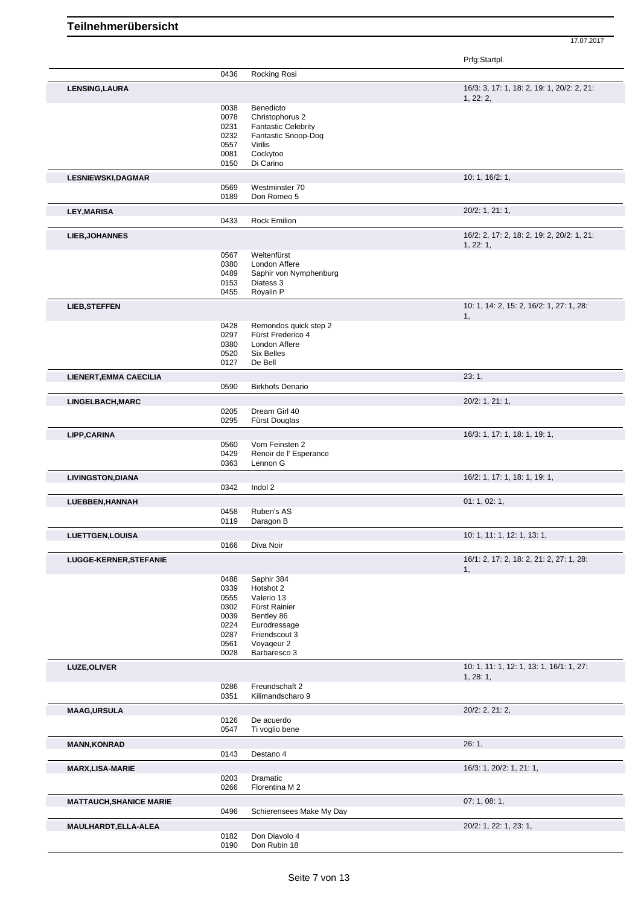Prfg:Startpl.

|                                | 0436         | Rocking Rosi                        |                                            |
|--------------------------------|--------------|-------------------------------------|--------------------------------------------|
| LENSING, LAURA                 |              |                                     | 16/3: 3, 17: 1, 18: 2, 19: 1, 20/2: 2, 21: |
|                                |              |                                     | 1, 22: 2,                                  |
|                                | 0038         | Benedicto                           |                                            |
|                                | 0078         | Christophorus 2                     |                                            |
|                                | 0231<br>0232 | <b>Fantastic Celebrity</b>          |                                            |
|                                | 0557         | Fantastic Snoop-Dog<br>Virilis      |                                            |
|                                | 0081         | Cockytoo                            |                                            |
|                                | 0150         | Di Carino                           |                                            |
| <b>LESNIEWSKI, DAGMAR</b>      |              |                                     | 10: 1, 16/2: 1,                            |
|                                | 0569         | Westminster 70                      |                                            |
|                                | 0189         | Don Romeo 5                         |                                            |
| <b>LEY, MARISA</b>             |              |                                     | 20/2: 1, 21: 1,                            |
|                                | 0433         | <b>Rock Emilion</b>                 |                                            |
| <b>LIEB, JOHANNES</b>          |              |                                     | 16/2: 2, 17: 2, 18: 2, 19: 2, 20/2: 1, 21: |
|                                |              |                                     | 1, 22: 1,                                  |
|                                | 0567         | Weltenfürst                         |                                            |
|                                | 0380<br>0489 | London Affere                       |                                            |
|                                | 0153         | Saphir von Nymphenburg<br>Diatess 3 |                                            |
|                                | 0455         | Royalin P                           |                                            |
| <b>LIEB, STEFFEN</b>           |              |                                     | 10: 1, 14: 2, 15: 2, 16/2: 1, 27: 1, 28:   |
|                                |              |                                     | 1,                                         |
|                                | 0428         | Remondos quick step 2               |                                            |
|                                | 0297         | Fürst Frederico 4                   |                                            |
|                                | 0380<br>0520 | London Affere<br><b>Six Belles</b>  |                                            |
|                                | 0127         | De Bell                             |                                            |
| <b>LIENERT, EMMA CAECILIA</b>  |              |                                     | 23:1,                                      |
|                                | 0590         | <b>Birkhofs Denario</b>             |                                            |
| LINGELBACH, MARC               |              |                                     | 20/2: 1, 21: 1,                            |
|                                | 0205         | Dream Girl 40                       |                                            |
|                                | 0295         | Fürst Douglas                       |                                            |
| LIPP, CARINA                   |              |                                     | 16/3: 1, 17: 1, 18: 1, 19: 1,              |
|                                | 0560         | Vom Feinsten 2                      |                                            |
|                                | 0429         | Renoir de l'Esperance               |                                            |
|                                | 0363         | Lennon G                            |                                            |
| <b>LIVINGSTON, DIANA</b>       |              |                                     | 16/2: 1, 17: 1, 18: 1, 19: 1,              |
|                                | 0342         | Indol 2                             |                                            |
| LUEBBEN, HANNAH                |              |                                     | 01: 1, 02: 1,                              |
|                                | 0458         | Ruben's AS                          |                                            |
|                                | 0119         | Daragon B                           |                                            |
| <b>LUETTGEN, LOUISA</b>        |              |                                     | 10: 1, 11: 1, 12: 1, 13: 1,                |
|                                | 0166         | Diva Noir                           |                                            |
| <b>LUGGE-KERNER, STEFANIE</b>  |              |                                     | 16/1: 2, 17: 2, 18: 2, 21: 2, 27: 1, 28:   |
|                                | 0488         | Saphir 384                          | 1,                                         |
|                                | 0339         | Hotshot 2                           |                                            |
|                                | 0555         | Valerio 13                          |                                            |
|                                | 0302         | Fürst Rainier                       |                                            |
|                                | 0039         | Bentley 86                          |                                            |
|                                | 0224         | Eurodressage                        |                                            |
|                                | 0287<br>0561 | Friendscout 3<br>Voyageur 2         |                                            |
|                                | 0028         | Barbaresco 3                        |                                            |
|                                |              |                                     | 10: 1, 11: 1, 12: 1, 13: 1, 16/1: 1, 27:   |
| <b>LUZE, OLIVER</b>            |              |                                     | 1, 28: 1,                                  |
|                                | 0286         | Freundschaft 2                      |                                            |
|                                | 0351         | Kilimandscharo 9                    |                                            |
| <b>MAAG,URSULA</b>             |              |                                     | 20/2: 2, 21: 2,                            |
|                                | 0126         | De acuerdo                          |                                            |
|                                | 0547         | Ti voglio bene                      |                                            |
| <b>MANN, KONRAD</b>            |              |                                     | 26:1,                                      |
|                                | 0143         | Destano 4                           |                                            |
| <b>MARX, LISA-MARIE</b>        |              |                                     | 16/3: 1, 20/2: 1, 21: 1,                   |
|                                | 0203<br>0266 | Dramatic<br>Florentina M 2          |                                            |
|                                |              |                                     |                                            |
| <b>MATTAUCH, SHANICE MARIE</b> |              |                                     | 07:1,08:1,                                 |
|                                | 0496         | Schierensees Make My Day            |                                            |
| MAULHARDT, ELLA-ALEA           |              |                                     | 20/2: 1, 22: 1, 23: 1,                     |
|                                | 0182         | Don Diavolo 4                       |                                            |
|                                | 0190         | Don Rubin 18                        |                                            |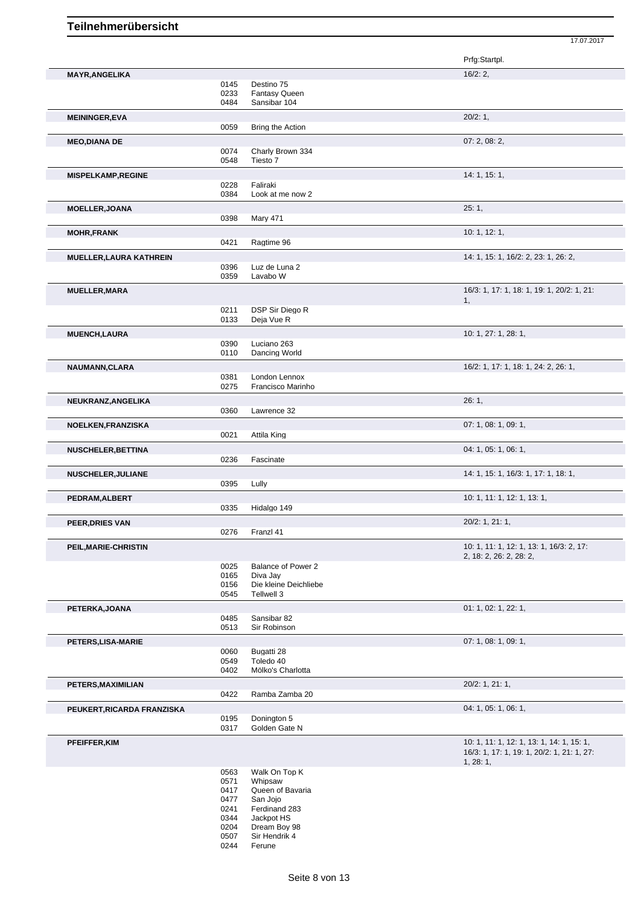|                                |              |                                | Prfg:Startpl.                              |
|--------------------------------|--------------|--------------------------------|--------------------------------------------|
| <b>MAYR, ANGELIKA</b>          |              |                                | 16/2:2,                                    |
|                                | 0145         | Destino 75                     |                                            |
|                                | 0233         | <b>Fantasy Queen</b>           |                                            |
|                                | 0484         | Sansibar 104                   |                                            |
| <b>MEININGER, EVA</b>          |              |                                | 20/2:1,                                    |
|                                | 0059         | Bring the Action               |                                            |
| <b>MEO,DIANA DE</b>            |              |                                | 07: 2, 08: 2,                              |
|                                | 0074         | Charly Brown 334               |                                            |
|                                | 0548         | Tiesto 7                       |                                            |
| <b>MISPELKAMP, REGINE</b>      |              |                                | 14: 1, 15: 1,                              |
|                                | 0228         | Faliraki                       |                                            |
|                                | 0384         | Look at me now 2               |                                            |
| <b>MOELLER, JOANA</b>          |              |                                | 25:1,                                      |
|                                | 0398         | <b>Mary 471</b>                |                                            |
| <b>MOHR, FRANK</b>             |              |                                | 10: 1, 12: 1,                              |
|                                | 0421         | Ragtime 96                     |                                            |
| <b>MUELLER, LAURA KATHREIN</b> |              |                                | 14: 1, 15: 1, 16/2: 2, 23: 1, 26: 2,       |
|                                | 0396         | Luz de Luna 2                  |                                            |
|                                | 0359         | Lavabo W                       |                                            |
| <b>MUELLER, MARA</b>           |              |                                | 16/3: 1, 17: 1, 18: 1, 19: 1, 20/2: 1, 21: |
|                                |              | DSP Sir Diego R                | 1,                                         |
|                                | 0211<br>0133 | Deja Vue R                     |                                            |
|                                |              |                                |                                            |
| <b>MUENCH,LAURA</b>            | 0390         | Luciano 263                    | 10: 1, 27: 1, 28: 1,                       |
|                                | 0110         | Dancing World                  |                                            |
|                                |              |                                | 16/2: 1, 17: 1, 18: 1, 24: 2, 26: 1,       |
| NAUMANN, CLARA                 | 0381         | London Lennox                  |                                            |
|                                | 0275         | Francisco Marinho              |                                            |
| NEUKRANZ, ANGELIKA             |              |                                | 26:1,                                      |
|                                | 0360         | Lawrence 32                    |                                            |
|                                |              |                                | 07: 1, 08: 1, 09: 1,                       |
| NOELKEN, FRANZISKA             | 0021         | Attila King                    |                                            |
|                                |              |                                |                                            |
| <b>NUSCHELER, BETTINA</b>      |              |                                | 04: 1, 05: 1, 06: 1,                       |
|                                | 0236         | Fascinate                      |                                            |
| <b>NUSCHELER, JULIANE</b>      |              |                                | 14: 1, 15: 1, 16/3: 1, 17: 1, 18: 1,       |
|                                | 0395         | Lully                          |                                            |
| PEDRAM, ALBERT                 |              |                                | 10: 1, 11: 1, 12: 1, 13: 1,                |
|                                | 0335         | Hidalgo 149                    |                                            |
| PEER, DRIES VAN                |              |                                | 20/2: 1, 21: 1,                            |
|                                | 0276         | Franzl 41                      |                                            |
| PEIL, MARIE-CHRISTIN           |              |                                | 10: 1, 11: 1, 12: 1, 13: 1, 16/3: 2, 17:   |
|                                |              |                                | 2, 18: 2, 26: 2, 28: 2,                    |
|                                | 0025<br>0165 | Balance of Power 2<br>Diva Jay |                                            |
|                                | 0156         | Die kleine Deichliebe          |                                            |
|                                | 0545         | Tellwell 3                     |                                            |
| PETERKA, JOANA                 |              |                                | 01: 1, 02: 1, 22: 1,                       |
|                                | 0485         | Sansibar 82                    |                                            |
|                                | 0513         | Sir Robinson                   |                                            |
| PETERS, LISA-MARIE             |              |                                | 07: 1, 08: 1, 09: 1,                       |
|                                | 0060         | Bugatti 28                     |                                            |
|                                | 0549         | Toledo 40                      |                                            |
|                                | 0402         | Mölko's Charlotta              |                                            |
| PETERS, MAXIMILIAN             |              |                                | 20/2: 1, 21: 1,                            |
|                                | 0422         | Ramba Zamba 20                 |                                            |
| PEUKERT, RICARDA FRANZISKA     |              |                                | 04: 1, 05: 1, 06: 1,                       |
|                                | 0195         | Donington 5                    |                                            |
|                                | 0317         | Golden Gate N                  |                                            |
| PFEIFFER, KIM                  |              |                                | 10: 1, 11: 1, 12: 1, 13: 1, 14: 1, 15: 1,  |
|                                |              |                                | 16/3: 1, 17: 1, 19: 1, 20/2: 1, 21: 1, 27: |
|                                | 0563         | Walk On Top K                  | 1, 28: 1,                                  |
|                                | 0571         | Whipsaw                        |                                            |
|                                | 0417         | Queen of Bavaria               |                                            |
|                                | 0477         | San Jojo                       |                                            |
|                                | 0241         | Ferdinand 283                  |                                            |

17.07.2017

0507 Sir Hendrik 4 0244 Ferune

0344 Jackpot HS 0204 Dream Boy 98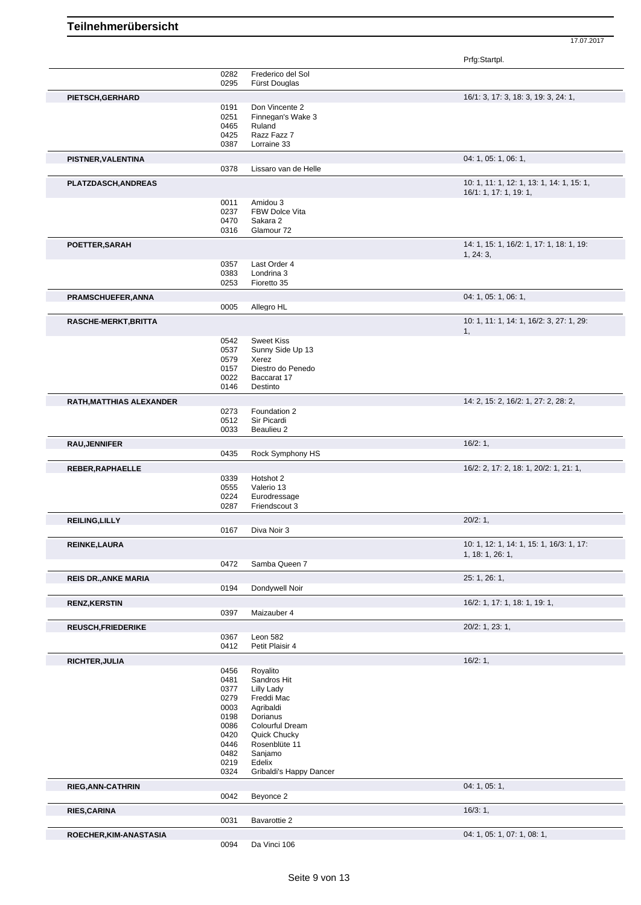Prfg:Startpl.

|                             | 0282         | Frederico del Sol             |                                           |
|-----------------------------|--------------|-------------------------------|-------------------------------------------|
|                             | 0295         | Fürst Douglas                 |                                           |
| PIETSCH, GERHARD            |              |                               | 16/1: 3, 17: 3, 18: 3, 19: 3, 24: 1,      |
|                             | 0191         | Don Vincente 2                |                                           |
|                             | 0251         | Finnegan's Wake 3             |                                           |
|                             | 0465         | Ruland                        |                                           |
|                             | 0425         | Razz Fazz 7<br>Lorraine 33    |                                           |
|                             | 0387         |                               |                                           |
| PISTNER, VALENTINA          |              |                               | 04: 1, 05: 1, 06: 1,                      |
|                             | 0378         | Lissaro van de Helle          |                                           |
| PLATZDASCH, ANDREAS         |              |                               | 10: 1, 11: 1, 12: 1, 13: 1, 14: 1, 15: 1, |
|                             |              |                               | 16/1: 1, 17: 1, 19: 1,                    |
|                             | 0011         | Amidou 3<br>FBW Dolce Vita    |                                           |
|                             | 0237<br>0470 | Sakara 2                      |                                           |
|                             | 0316         | Glamour 72                    |                                           |
|                             |              |                               | 14: 1, 15: 1, 16/2: 1, 17: 1, 18: 1, 19:  |
| POETTER, SARAH              |              |                               | 1, 24: 3,                                 |
|                             | 0357         | Last Order 4                  |                                           |
|                             | 0383         | Londrina 3                    |                                           |
|                             | 0253         | Fioretto 35                   |                                           |
| PRAMSCHUEFER, ANNA          |              |                               | 04: 1, 05: 1, 06: 1,                      |
|                             | 0005         | Allegro HL                    |                                           |
| RASCHE-MERKT, BRITTA        |              |                               | 10: 1, 11: 1, 14: 1, 16/2: 3, 27: 1, 29:  |
|                             |              |                               | 1,                                        |
|                             | 0542         | <b>Sweet Kiss</b>             |                                           |
|                             | 0537         | Sunny Side Up 13              |                                           |
|                             | 0579         | Xerez                         |                                           |
|                             | 0157         | Diestro do Penedo             |                                           |
|                             | 0022<br>0146 | Baccarat 17<br>Destinto       |                                           |
|                             |              |                               |                                           |
| RATH, MATTHIAS ALEXANDER    |              |                               | 14: 2, 15: 2, 16/2: 1, 27: 2, 28: 2,      |
|                             | 0273         | Foundation 2                  |                                           |
|                             | 0512<br>0033 | Sir Picardi<br>Beaulieu 2     |                                           |
|                             |              |                               |                                           |
| <b>RAU, JENNIFER</b>        |              |                               | 16/2:1,                                   |
|                             | 0435         | Rock Symphony HS              |                                           |
| REBER, RAPHAELLE            |              |                               | 16/2: 2, 17: 2, 18: 1, 20/2: 1, 21: 1,    |
|                             | 0339         | Hotshot 2                     |                                           |
|                             | 0555         | Valerio 13                    |                                           |
|                             | 0224<br>0287 | Eurodressage<br>Friendscout 3 |                                           |
|                             |              |                               | 20/2:1,                                   |
| <b>REILING, LILLY</b>       | 0167         | Diva Noir 3                   |                                           |
|                             |              |                               |                                           |
| REINKE, LAURA               |              |                               | 10: 1, 12: 1, 14: 1, 15: 1, 16/3: 1, 17:  |
|                             | 0472         | Samba Queen 7                 | 1, 18: 1, 26: 1,                          |
|                             |              |                               |                                           |
| <b>REIS DR., ANKE MARIA</b> |              |                               | 25: 1, 26: 1,                             |
|                             | 0194         | Dondywell Noir                |                                           |
| <b>RENZ, KERSTIN</b>        |              |                               | 16/2: 1, 17: 1, 18: 1, 19: 1,             |
|                             | 0397         | Maizauber 4                   |                                           |
| <b>REUSCH, FRIEDERIKE</b>   |              |                               | 20/2: 1, 23: 1,                           |
|                             | 0367         | Leon 582                      |                                           |
|                             | 0412         | Petit Plaisir 4               |                                           |
| <b>RICHTER, JULIA</b>       |              |                               | 16/2:1,                                   |
|                             | 0456         | Royalito                      |                                           |
|                             | 0481         | Sandros Hit                   |                                           |
|                             | 0377         | Lilly Lady                    |                                           |
|                             | 0279<br>0003 | Freddi Mac<br>Agribaldi       |                                           |
|                             | 0198         | Dorianus                      |                                           |
|                             | 0086         | Colourful Dream               |                                           |
|                             | 0420         | Quick Chucky                  |                                           |
|                             | 0446         | Rosenblüte 11                 |                                           |
|                             | 0482         | Sanjamo                       |                                           |
|                             | 0219         | Edelix                        |                                           |
|                             | 0324         | Gribaldi's Happy Dancer       |                                           |
| <b>RIEG, ANN-CATHRIN</b>    |              |                               | 04: 1, 05: 1,                             |
|                             | 0042         | Beyonce 2                     |                                           |
| <b>RIES, CARINA</b>         |              |                               | 16/3:1,                                   |
|                             | 0031         | Bavarottie 2                  |                                           |
| ROECHER, KIM-ANASTASIA      |              |                               | 04: 1, 05: 1, 07: 1, 08: 1,               |
|                             | 0094         | Da Vinci 106                  |                                           |
|                             |              |                               |                                           |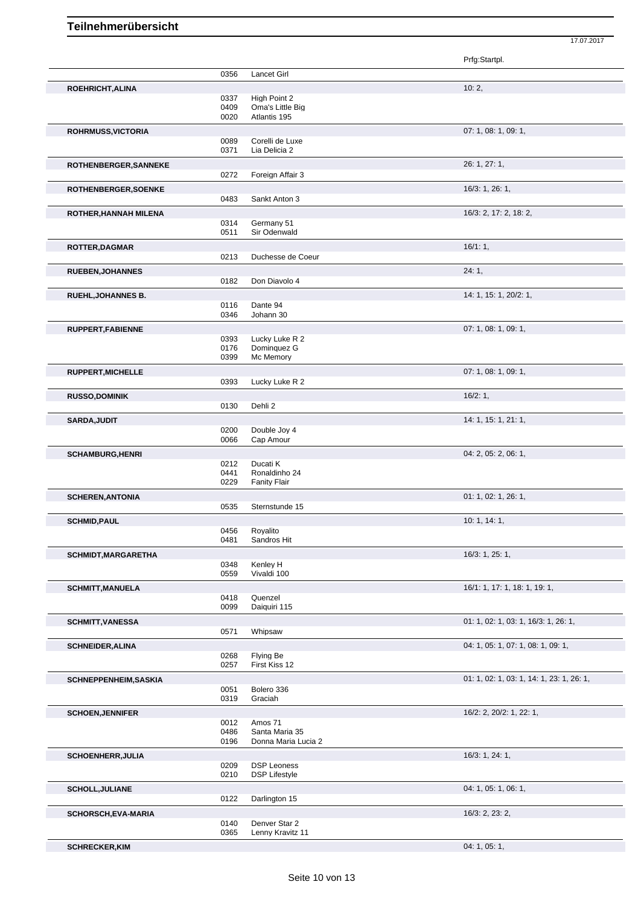Prfg:Startpl. 0356 Lancet Girl **ROEHRICHT, ALINA** 10: 2, High Point 2 0409 Oma's Little Big 0020 Atlantis 195 **ROHRMUSS,VICTORIA** 07: 1, 08: 1, 09: 1, 0089 Corelli de Luxe<br>0371 Lia Delicia 2 Lia Delicia 2 **ROTHENBERGER,SANNEKE** 26: 1, 27: 1, 0272 Foreign Affair 3 **ROTHENBERGER,SOENKE** 16/3: 1, 26: 1, 0483 Sankt Anton 3 **ROTHER,HANNAH MILENA** 16/3: 2, 17: 2, 18: 2, 0314 Germany 51<br>0511 Sir Odenwal Sir Odenwald **ROTTER,DAGMAR** 16/1: 1, 0213 Duchesse de Coeur **RUEBEN,JOHANNES** 24: 1, 0182 Don Diavolo 4 **RUEHL,JOHANNES B.** 14: 1, 15: 1, 20/2: 1, 0116 Dante 94 0346 Johann 30 **RUPPERT,FABIENNE** 07: 1, 08: 1, 09: 1, 0393 Lucky Luke R 2<br>0176 Dominguez G 0176 Dominquez G<br>0399 Mc Memory Mc Memory **RUPPERT,MICHELLE** 07: 1, 08: 1, 09: 1, 0393 Lucky Luke R 2 **RUSSO,DOMINIK 16/2: 1, 16/2: 1, 16/2: 1, 16/2: 1, 16/2: 1, 16/2: 1, 16/2: 1, 16/2: 1, 16/2: 1, 16/2: 1, 16/2: 1, 16/2: 1, 16/2: 1, 16/2: 1, 16/2: 1, 16/2: 1, 16/2: 1, 16/2: 1, 16/2: 1, 16/2: 1, 16/2: 1, 16/2: 1, 16/2: 1,** 0130 Dehli 2 **SARDA,JUDIT** 14: 1, 15: 1, 21: 1, 0200 Double Joy 4 0066 Cap Amour **SCHAMBURG,HENRI** 04: 2, 05: 2, 06: 1, 0212 Ducati K<br>0441 Ronaldin 0441 Ronaldinho 24<br>0229 Fanity Flair **Fanity Flair SCHEREN,ANTONIA** 01: 1, 02: 1, 26: 1, 02: 1, 26: 1, 02: 1, 26: 1, 02: 1, 26: 1, 02: 1, 26: 1, 02: 1, 26: 1, 02: 1, 26: 1, 02: 1, 26: 1, 02: 1, 26: 1, 02: 1, 26: 1, 02: 1, 26: 1, 02: 1, 02: 1, 26: 1, 02: 1, 02: 1, 02: 1, 0 Sternstunde 15 **SCHMID,PAUL** 10: 1, 14: 1, 0456 Royalito<br>0481 Sandros Sandros Hit **SCHMIDT,MARGARETHA** 16/3: 1, 25: 1, 0348 Kenley H<br>0559 Vivaldi 10 Vivaldi 100 **SCHMITT,MANUELA** 16/1: 1, 17: 1, 18: 1, 19: 1, 0418 Quenzel<br>0099 Daiquiri Daiquiri 115 **SCHMITT,VANESSA** 01: 1, 02: 1, 03: 1, 16/3: 1, 26: 1, 0571 Whipsaw 0571 Whipsaw 01: 1, 02: 1, 02: 1, 03: 1, 16/3: 1, 26: 1, Whipsaw **SCHNEIDER, ALINA** 0268 Flying Be 0268 Flying Be 0268 Flying Be 04: 1, 05: 1, 05: 1, 07: 1, 08: 1, 09: 1, 0268 Flying Be<br>0257 First Kiss First Kiss 12 **SCHNEPPENHEIM,SASKIA** 01: 1, 02: 1, 03: 1, 14: 1, 23: 1, 26: 1, 0051 Bolero 336 0319 Graciah **SCHOEN,JENNIFER** 16/2: 2, 20/2: 1, 22: 1, 0012 Amos 71 0486 Santa Maria 35 0196 Donna Maria Lucia 2 **SCHOENHERR,JULIA** 16/3: 1, 24: 1, 0209 DSP Leoness<br>0210 DSP Lifestyle DSP Lifestyle **SCHOLL,JULIANE** 04: 1, 05: 1, 06: 1, 0122 Darlington 15 **SCHORSCH,EVA-MARIA** 16/3: 2, 23: 2, 0140 Denver Star 2<br>0365 Lenny Kravitz Lenny Kravitz 11

**SCHRECKER,KIM** 04: 1, 05: 1,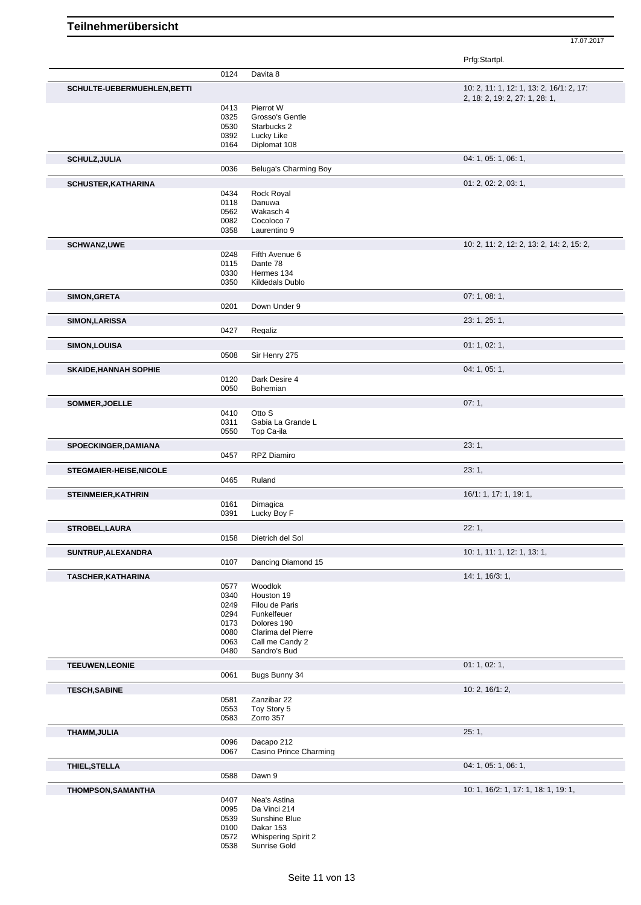Prfg:Startpl.

|                                | 0124 | Davita 8                   |                                           |
|--------------------------------|------|----------------------------|-------------------------------------------|
| SCHULTE-UEBERMUEHLEN, BETTI    |      |                            | 10: 2, 11: 1, 12: 1, 13: 2, 16/1: 2, 17:  |
|                                |      |                            | 2, 18: 2, 19: 2, 27: 1, 28: 1,            |
|                                | 0413 | Pierrot W                  |                                           |
|                                | 0325 | Grosso's Gentle            |                                           |
|                                | 0530 | Starbucks 2                |                                           |
|                                | 0392 | Lucky Like                 |                                           |
|                                | 0164 | Diplomat 108               |                                           |
|                                |      |                            |                                           |
| <b>SCHULZ, JULIA</b>           |      |                            | 04: 1, 05: 1, 06: 1,                      |
|                                | 0036 | Beluga's Charming Boy      |                                           |
| <b>SCHUSTER, KATHARINA</b>     |      |                            | 01: 2, 02: 2, 03: 1,                      |
|                                | 0434 | <b>Rock Royal</b>          |                                           |
|                                | 0118 | Danuwa                     |                                           |
|                                | 0562 | Wakasch 4                  |                                           |
|                                | 0082 | Cocoloco 7                 |                                           |
|                                | 0358 | Laurentino 9               |                                           |
|                                |      |                            |                                           |
| <b>SCHWANZ,UWE</b>             |      |                            | 10: 2, 11: 2, 12: 2, 13: 2, 14: 2, 15: 2, |
|                                | 0248 | Fifth Avenue 6             |                                           |
|                                | 0115 | Dante 78                   |                                           |
|                                | 0330 | Hermes 134                 |                                           |
|                                | 0350 | Kildedals Dublo            |                                           |
| <b>SIMON, GRETA</b>            |      |                            | 07:1,08:1,                                |
|                                | 0201 | Down Under 9               |                                           |
|                                |      |                            |                                           |
| SIMON, LARISSA                 |      |                            | 23: 1, 25: 1,                             |
|                                | 0427 | Regaliz                    |                                           |
|                                |      |                            | 01: 1, 02: 1,                             |
| SIMON, LOUISA                  |      |                            |                                           |
|                                | 0508 | Sir Henry 275              |                                           |
| <b>SKAIDE, HANNAH SOPHIE</b>   |      |                            | 04: 1, 05: 1,                             |
|                                | 0120 | Dark Desire 4              |                                           |
|                                | 0050 | Bohemian                   |                                           |
|                                |      |                            |                                           |
| SOMMER, JOELLE                 |      |                            | 07:1,                                     |
|                                | 0410 | Otto S                     |                                           |
|                                | 0311 | Gabia La Grande L          |                                           |
|                                | 0550 | Top Ca-ila                 |                                           |
| <b>SPOECKINGER, DAMIANA</b>    |      |                            | 23:1,                                     |
|                                | 0457 | RPZ Diamiro                |                                           |
|                                |      |                            |                                           |
| <b>STEGMAIER-HEISE, NICOLE</b> |      |                            | 23:1,                                     |
|                                | 0465 | Ruland                     |                                           |
|                                |      |                            | 16/1: 1, 17: 1, 19: 1,                    |
| <b>STEINMEIER, KATHRIN</b>     | 0161 | Dimagica                   |                                           |
|                                | 0391 | Lucky Boy F                |                                           |
|                                |      |                            |                                           |
| <b>STROBEL, LAURA</b>          |      |                            | 22:1,                                     |
|                                | 0158 | Dietrich del Sol           |                                           |
|                                |      |                            | 10: 1, 11: 1, 12: 1, 13: 1,               |
| SUNTRUP, ALEXANDRA             |      | Dancing Diamond 15         |                                           |
|                                | 0107 |                            |                                           |
| <b>TASCHER, KATHARINA</b>      |      |                            | 14: 1, 16/3: 1,                           |
|                                | 0577 | Woodlok                    |                                           |
|                                | 0340 | Houston 19                 |                                           |
|                                | 0249 | Filou de Paris             |                                           |
|                                | 0294 | Funkelfeuer                |                                           |
|                                | 0173 | Dolores 190                |                                           |
|                                | 0080 | Clarima del Pierre         |                                           |
|                                | 0063 | Call me Candy 2            |                                           |
|                                | 0480 | Sandro's Bud               |                                           |
|                                |      |                            |                                           |
| <b>TEEUWEN,LEONIE</b>          |      |                            | 01: 1, 02: 1,                             |
|                                | 0061 | Bugs Bunny 34              |                                           |
| <b>TESCH, SABINE</b>           |      |                            | 10: 2, 16/1: 2,                           |
|                                | 0581 | Zanzibar 22                |                                           |
|                                | 0553 | Toy Story 5                |                                           |
|                                | 0583 | Zorro 357                  |                                           |
|                                |      |                            |                                           |
| THAMM, JULIA                   |      |                            | 25:1,                                     |
|                                | 0096 | Dacapo 212                 |                                           |
|                                | 0067 | Casino Prince Charming     |                                           |
| THIEL, STELLA                  |      |                            | 04: 1, 05: 1, 06: 1,                      |
|                                | 0588 | Dawn 9                     |                                           |
|                                |      |                            |                                           |
| THOMPSON, SAMANTHA             |      |                            | 10: 1, 16/2: 1, 17: 1, 18: 1, 19: 1,      |
|                                | 0407 | Nea's Astina               |                                           |
|                                | 0095 | Da Vinci 214               |                                           |
|                                | 0539 | Sunshine Blue              |                                           |
|                                | 0100 | Dakar 153                  |                                           |
|                                | 0572 | <b>Whispering Spirit 2</b> |                                           |
|                                | 0538 | Sunrise Gold               |                                           |
|                                |      |                            |                                           |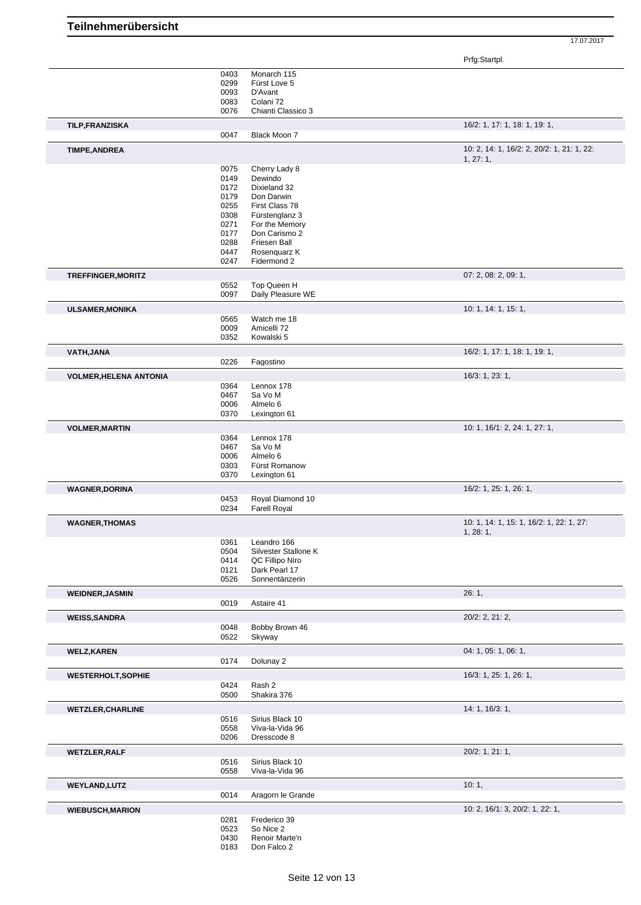Prfg:Startpl.

|                               |              |                                    | Prig:Startpl.                              |
|-------------------------------|--------------|------------------------------------|--------------------------------------------|
|                               | 0403         | Monarch 115                        |                                            |
|                               | 0299         | Fürst Love 5                       |                                            |
|                               | 0093         | D'Avant                            |                                            |
|                               | 0083         | Colani 72                          |                                            |
|                               |              |                                    |                                            |
|                               | 0076         | Chianti Classico 3                 |                                            |
| <b>TILP, FRANZISKA</b>        |              |                                    | 16/2: 1, 17: 1, 18: 1, 19: 1,              |
|                               | 0047         | Black Moon 7                       |                                            |
| <b>TIMPE, ANDREA</b>          |              |                                    | 10: 2, 14: 1, 16/2: 2, 20/2: 1, 21: 1, 22: |
|                               |              |                                    | 1, 27: 1,                                  |
|                               | 0075         | Cherry Lady 8                      |                                            |
|                               | 0149         | Dewindo                            |                                            |
|                               | 0172         | Dixieland 32                       |                                            |
|                               | 0179         | Don Darwin                         |                                            |
|                               |              |                                    |                                            |
|                               | 0255         | First Class 78                     |                                            |
|                               | 0308         | Fürstenglanz 3                     |                                            |
|                               | 0271         | For the Memory                     |                                            |
|                               | 0177         | Don Carismo 2                      |                                            |
|                               | 0288         | Friesen Ball                       |                                            |
|                               | 0447         | Rosenquarz K                       |                                            |
|                               | 0247         | Fidermond 2                        |                                            |
| <b>TREFFINGER, MORITZ</b>     |              |                                    | 07: 2, 08: 2, 09: 1,                       |
|                               | 0552         | Top Queen H                        |                                            |
|                               | 0097         | Daily Pleasure WE                  |                                            |
| <b>ULSAMER, MONIKA</b>        |              |                                    | 10: 1, 14: 1, 15: 1,                       |
|                               | 0565         | Watch me 18                        |                                            |
|                               | 0009         | Amicelli 72                        |                                            |
|                               | 0352         | Kowalski 5                         |                                            |
| VATH, JANA                    |              |                                    | 16/2: 1, 17: 1, 18: 1, 19: 1,              |
|                               | 0226         | Fagostino                          |                                            |
| <b>VOLMER, HELENA ANTONIA</b> |              |                                    | 16/3: 1, 23: 1,                            |
|                               | 0364         | Lennox 178                         |                                            |
|                               | 0467         | Sa Vo M                            |                                            |
|                               | 0006         | Almelo 6                           |                                            |
|                               | 0370         | Lexington 61                       |                                            |
|                               |              |                                    |                                            |
| <b>VOLMER, MARTIN</b>         |              |                                    | 10: 1, 16/1: 2, 24: 1, 27: 1,              |
|                               | 0364         | Lennox 178                         |                                            |
|                               | 0467         | Sa Vo M                            |                                            |
|                               | 0006         | Almelo 6                           |                                            |
|                               | 0303         | Fürst Romanow                      |                                            |
|                               | 0370         | Lexington 61                       |                                            |
| <b>WAGNER, DORINA</b>         |              |                                    | 16/2: 1, 25: 1, 26: 1,                     |
|                               | 0453         | Royal Diamond 10                   |                                            |
|                               | 0234         | <b>Farell Royal</b>                |                                            |
|                               |              |                                    | 10: 1, 14: 1, 15: 1, 16/2: 1, 22: 1, 27:   |
| <b>WAGNER, THOMAS</b>         |              |                                    | 1, 28: 1,                                  |
|                               |              |                                    |                                            |
|                               |              | 0361 Leandro 166                   |                                            |
|                               | 0504         | Silvester Stallone K               |                                            |
|                               | 0414         | QC Fillipo Niro                    |                                            |
|                               | 0121         | Dark Pearl 17                      |                                            |
|                               | 0526         | Sonnentänzerin                     |                                            |
|                               |              |                                    | 26:1,                                      |
| <b>WEIDNER, JASMIN</b>        | 0019         | Astaire 41                         |                                            |
| <b>WEISS, SANDRA</b>          |              |                                    | 20/2: 2, 21: 2,                            |
|                               | 0048         | Bobby Brown 46                     |                                            |
|                               | 0522         | Skyway                             |                                            |
| <b>WELZ, KAREN</b>            |              |                                    | 04: 1, 05: 1, 06: 1,                       |
|                               | 0174         | Dolunay 2                          |                                            |
| <b>WESTERHOLT, SOPHIE</b>     |              |                                    | 16/3: 1, 25: 1, 26: 1,                     |
|                               | 0424         | Rash 2                             |                                            |
|                               | 0500         | Shakira 376                        |                                            |
| <b>WETZLER, CHARLINE</b>      |              |                                    | 14: 1, 16/3: 1,                            |
|                               | 0516         | Sirius Black 10                    |                                            |
|                               | 0558         | Viva-la-Vida 96                    |                                            |
|                               | 0206         | Dresscode 8                        |                                            |
| <b>WETZLER, RALF</b>          |              |                                    | 20/2: 1, 21: 1,                            |
|                               |              |                                    |                                            |
|                               | 0516<br>0558 | Sirius Black 10<br>Viva-la-Vida 96 |                                            |
|                               |              |                                    |                                            |
| <b>WEYLAND, LUTZ</b>          |              |                                    | 10:1,                                      |
|                               | 0014         | Aragorn le Grande                  |                                            |
| <b>WIEBUSCH, MARION</b>       |              |                                    | 10: 2, 16/1: 3, 20/2: 1, 22: 1,            |
|                               | 0281         | Frederico 39                       |                                            |
|                               | 0523<br>0430 | So Nice 2<br>Renoir Marte'n        |                                            |

**Teilnehmerübersicht**